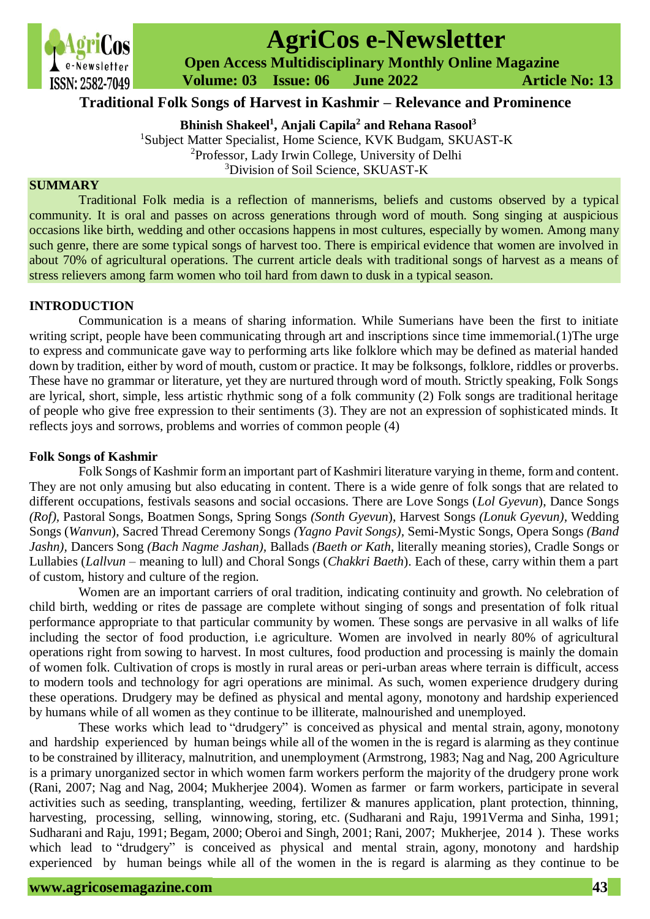

# **AgriCos e-Newsletter**

 **Open Access Multidisciplinary Monthly Online Magazine**

 **Volume: 03 Issue: 06 June 2022 Article No: 13**

# **Traditional Folk Songs of Harvest in Kashmir – Relevance and Prominence**

**Bhinish Shakeel<sup>1</sup> , Anjali Capila<sup>2</sup> and Rehana Rasool<sup>3</sup>**

<sup>1</sup>Subject Matter Specialist, Home Science, KVK Budgam, SKUAST-K <sup>2</sup>Professor, Lady Irwin College, University of Delhi

<sup>3</sup>Division of Soil Science, SKUAST-K

## **SUMMARY**

Traditional Folk media is a reflection of mannerisms, beliefs and customs observed by a typical community. It is oral and passes on across generations through word of mouth. Song singing at auspicious occasions like birth, wedding and other occasions happens in most cultures, especially by women. Among many such genre, there are some typical songs of harvest too. There is empirical evidence that women are involved in about 70% of agricultural operations. The current article deals with traditional songs of harvest as a means of stress relievers among farm women who toil hard from dawn to dusk in a typical season.

## **INTRODUCTION**

Communication is a means of sharing information. While Sumerians have been the first to initiate writing script, people have been communicating through art and inscriptions since time immemorial.(1) The urge to express and communicate gave way to performing arts like folklore which may be defined as material handed down by tradition, either by word of mouth, custom or practice. It may be folksongs, folklore, riddles or proverbs. These have no grammar or literature, yet they are nurtured through word of mouth. Strictly speaking, Folk Songs are lyrical, short, simple, less artistic rhythmic song of a folk community (2) Folk songs are traditional heritage of people who give free expression to their sentiments (3). They are not an expression of sophisticated minds. It reflects joys and sorrows, problems and worries of common people (4)

### **Folk Songs of Kashmir**

Folk Songs of Kashmir form an important part of Kashmiri literature varying in theme, form and content. They are not only amusing but also educating in content. There is a wide genre of folk songs that are related to different occupations, festivals seasons and social occasions. There are Love Songs (*Lol Gyevun*), Dance Songs *(Rof),* Pastoral Songs, Boatmen Songs, Spring Songs *(Sonth Gyevun*), Harvest Songs *(Lonuk Gyevun),* Wedding Songs (*Wanvun*), Sacred Thread Ceremony Songs *(Yagno Pavit Songs),* Semi-Mystic Songs, Opera Songs *(Band Jashn),* Dancers Song *(Bach Nagme Jashan),* Ballads *(Baeth or Kath*, literally meaning stories), Cradle Songs or Lullabies (*Lallvun* – meaning to lull) and Choral Songs (*Chakkri Baeth*). Each of these, carry within them a part of custom, history and culture of the region.

Women are an important carriers of oral tradition, indicating continuity and growth. No celebration of child birth, wedding or rites de passage are complete without singing of songs and presentation of folk ritual performance appropriate to that particular community by women. These songs are pervasive in all walks of life including the sector of food production, i.e agriculture. Women are involved in nearly 80% of agricultural operations right from sowing to harvest. In most cultures, food production and processing is mainly the domain of women folk. Cultivation of crops is mostly in rural areas or peri-urban areas where terrain is difficult, access to modern tools and technology for agri operations are minimal. As such, women experience drudgery during these operations. Drudgery may be defined as physical and mental agony, monotony and hardship experienced by humans while of all women as they continue to be illiterate, malnourished and unemployed.

These works which lead to "drudgery" is conceived as physical and mental strain, agony, monotony and hardship experienced by human beings while all of the women in the is regard is alarming as they continue to be constrained by illiteracy, malnutrition, and unemployment (Armstrong, 1983; Nag and Nag, 200 Agriculture is a primary unorganized sector in which women farm workers perform the majority of the drudgery prone work (Rani, 2007; Nag and Nag, 2004; Mukherjee 2004). Women as farmer or farm workers, participate in several activities such as seeding, transplanting, weeding, fertilizer & manures application, plant protection, thinning, harvesting, processing, selling, winnowing, storing, etc. (Sudharani and Raju, 1991Verma and Sinha, 1991; Sudharani and Raju, 1991; Begam, 2000; Oberoi and Singh, 2001; Rani, 2007; Mukherjee, 2014 ). These works which lead to "drudgery" is conceived as physical and mental strain, agony, monotony and hardship experienced by human beings while all of the women in the is regard is alarming as they continue to be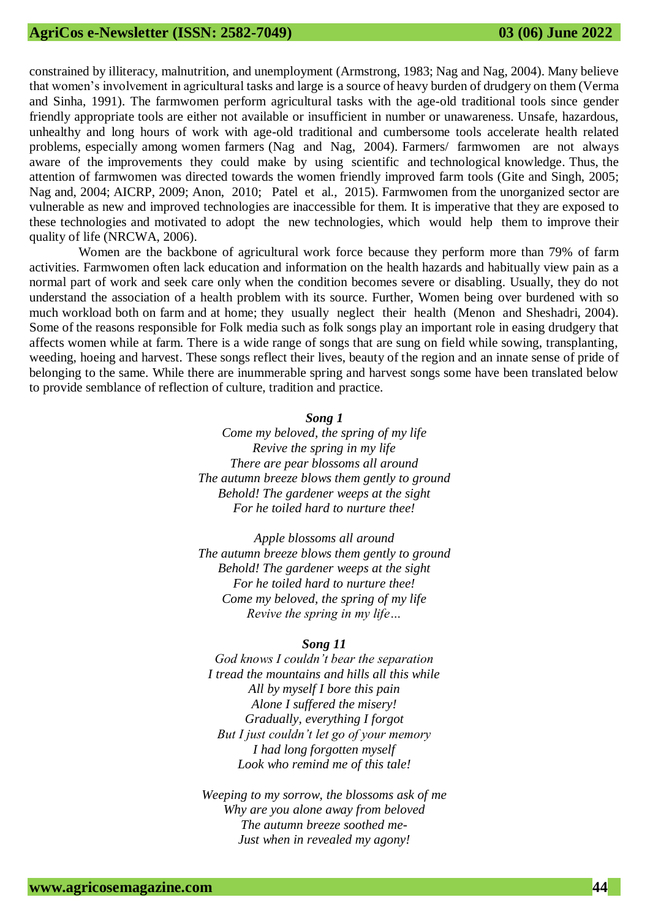constrained by illiteracy, malnutrition, and unemployment (Armstrong, 1983; Nag and Nag, 2004). Many believe that women's involvement in agricultural tasks and large is a source of heavy burden of drudgery on them (Verma and Sinha, 1991). The farmwomen perform agricultural tasks with the age-old traditional tools since gender friendly appropriate tools are either not available or insufficient in number or unawareness. Unsafe, hazardous, unhealthy and long hours of work with age-old traditional and cumbersome tools accelerate health related problems, especially among women farmers (Nag and Nag, 2004). Farmers/ farmwomen are not always aware of the improvements they could make by using scientific and technological knowledge. Thus, the attention of farmwomen was directed towards the women friendly improved farm tools (Gite and Singh, 2005; Nag and, 2004; AICRP, 2009; Anon, 2010; Patel et al., 2015). Farmwomen from the unorganized sector are vulnerable as new and improved technologies are inaccessible for them. It is imperative that they are exposed to these technologies and motivated to adopt the new technologies, which would help them to improve their quality of life (NRCWA, 2006).

Women are the backbone of agricultural work force because they perform more than 79% of farm activities. Farmwomen often lack education and information on the health hazards and habitually view pain as a normal part of work and seek care only when the condition becomes severe or disabling. Usually, they do not understand the association of a health problem with its source. Further, Women being over burdened with so much workload both on farm and at home; they usually neglect their health (Menon and Sheshadri, 2004). Some of the reasons responsible for Folk media such as folk songs play an important role in easing drudgery that affects women while at farm. There is a wide range of songs that are sung on field while sowing, transplanting, weeding, hoeing and harvest. These songs reflect their lives, beauty of the region and an innate sense of pride of belonging to the same. While there are inummerable spring and harvest songs some have been translated below to provide semblance of reflection of culture, tradition and practice.

#### *Song 1*

*Come my beloved, the spring of my life Revive the spring in my life There are pear blossoms all around The autumn breeze blows them gently to ground Behold! The gardener weeps at the sight For he toiled hard to nurture thee!*

*Apple blossoms all around The autumn breeze blows them gently to ground Behold! The gardener weeps at the sight For he toiled hard to nurture thee! Come my beloved, the spring of my life Revive the spring in my life…*

#### *Song 11*

*God knows I couldn't bear the separation I tread the mountains and hills all this while All by myself I bore this pain Alone I suffered the misery! Gradually, everything I forgot But I just couldn't let go of your memory I had long forgotten myself Look who remind me of this tale!*

*Weeping to my sorrow, the blossoms ask of me Why are you alone away from beloved The autumn breeze soothed me-Just when in revealed my agony!*